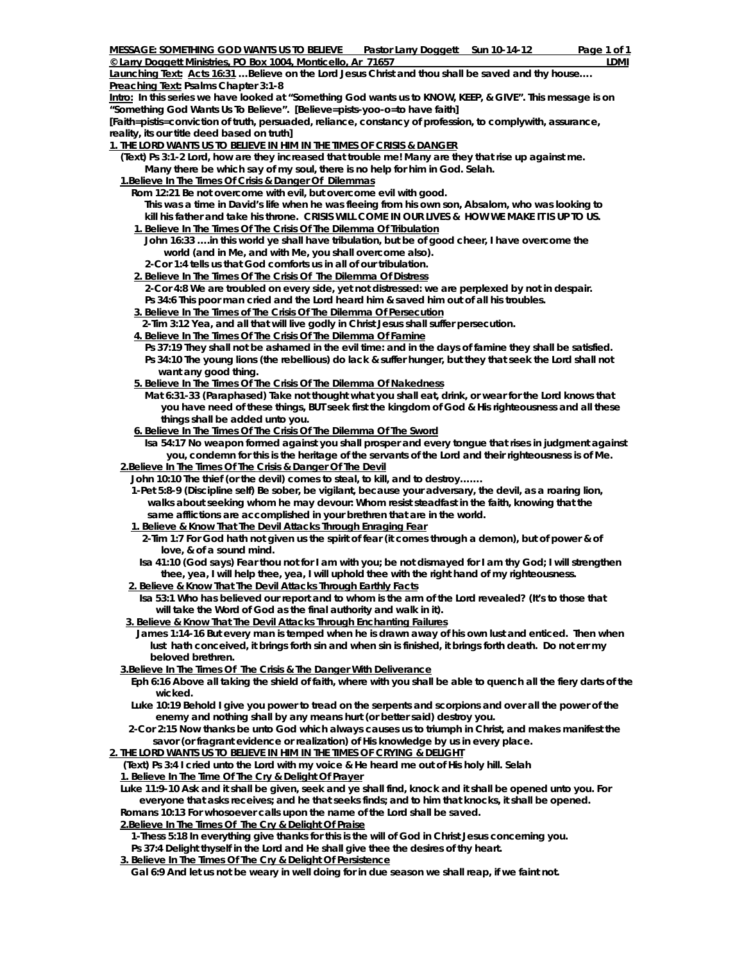**© Larry Doggett Ministries, PO Box 1004, Monticello, Ar 71657 LDMI** Launching Text: Acts 16:31 ...Believe on the Lord Jesus Christ and thou shall be saved and thy house... **Preaching Text: Psalms Chapter 3:1-8** 

**Intro: In this series we have looked at "Something God wants us to KNOW, KEEP, & GIVE". This message is on "Something God Wants Us To Believe". [Believe=pists-yoo-o=to have faith]** 

**[Faith=pistis=conviction of truth, persuaded, reliance, constancy of profession, to complywith, assurance, reality, its our title deed based on truth]** 

**1. THE LORD WANTS US TO BELIEVE IN HIM IN THE TIMES OF CRISIS & DANGER**

 **(Text) Ps 3:1-2 Lord, how are they increased that trouble me! Many are they that rise up against me. Many there be which say of my soul, there is no help for him in God. Selah.** 

 **1.Believe In The Times Of Crisis & Danger Of Dilemmas**

- **Rom 12:21 Be not overcome with evil, but overcome evil with good.** *This was a time in David's life when he was fleeing from his own son, Absalom, who was looking to*
- *kill his father and take his throne. CRISIS WILL COME IN OUR LIVES & HOW WE MAKE IT IS UP TO US.*   **1. Believe In The Times Of The Crisis Of The Dilemma Of Tribulation**
- **John 16:33 ….in this world ye shall have tribulation, but be of good cheer, I have overcome the world (and in Me, and with Me, you shall overcome also).**
- **2-Cor 1:4 tells us that God comforts us in all of our tribulation.**
- **2. Believe In The Times Of The Crisis Of The Dilemma Of Distress 2-Cor 4:8 We are troubled on every side, yet not distressed: we are perplexed by not in despair.**
- **Ps 34:6 This poor man cried and the Lord heard him & saved him out of all his troubles.**
- **3. Believe In The Times of The Crisis Of The Dilemma Of Persecution**
- **2-Tim 3:12 Yea, and all that will live godly in Christ Jesus shall suffer persecution.**
- **4. Believe In The Times Of The Crisis Of The Dilemma Of Famine**
	- **Ps 37:19 They shall not be ashamed in the evil time: and in the days of famine they shall be satisfied. Ps 34:10 The young lions (the rebellious) do lack & suffer hunger, but they that seek the Lord shall not want any good thing.**
- **5. Believe In The Times Of The Crisis Of The Dilemma Of Nakedness**
	- **Mat 6:31-33 (Paraphased) Take not thought what you shall eat, drink, or wear for the Lord knows that you have need of these things, BUT seek first the kingdom of God & His righteousness and all these things shall be added unto you.**
- **6. Believe In The Times Of The Crisis Of The Dilemma Of The Sword**
	- **Isa 54:17 No weapon formed against you shall prosper and every tongue that rises in judgment against you, condemn for this is the heritage of the servants of the Lord and their righteousness is of Me.**
- **2.Believe In The Times Of The Crisis & Danger Of The Devil**
	- **John 10:10 The thief (or the devil) comes to steal, to kill, and to destroy…….**
	- **1-Pet 5:8-9 (Discipline self) Be sober, be vigilant, because your adversary, the devil, as a roaring lion, walks about seeking whom he may devour: Whom resist steadfast in the faith, knowing that the same afflictions are accomplished in your brethren that are in the world.**
	- **1. Believe & Know That The Devil Attacks Through Enraging Fear**
	- **2-Tim 1:7 For God hath not given us the spirit of fear (it comes through a demon), but of power & of love, & of a sound mind.**
	- **Isa 41:10 (God says) Fear thou not for I am with you; be not dismayed for I am thy God; I will strengthen thee, yea, I will help thee, yea, I will uphold thee with the right hand of my righteousness.**
	- **2. Believe & Know That The Devil Attacks Through Earthly Facts**
	- **Isa 53:1 Who has believed our report and to whom is the arm of the Lord revealed? (It's to those that will take the Word of God as the final authority and walk in it).**
- **3. Believe & Know That The Devil Attacks Through Enchanting Failures**
- **James 1:14-16 But every man is temped when he is drawn away of his own lust and enticed. Then when lust hath conceived, it brings forth sin and when sin is finished, it brings forth death. Do not err my beloved brethren.**
- **3.Believe In The Times Of The Crisis & The Danger With Deliverance**
	- **Eph 6:16 Above all taking the shield of faith, where with you shall be able to quench all the fiery darts of the wicked.**
	- **Luke 10:19 Behold I give you power to tread on the serpents and scorpions and over all the power of the enemy and nothing shall by any means hurt (or better said) destroy you.**
	- **2-Cor 2:15 Now thanks be unto God which always causes us to triumph in Christ, and makes manifest the savor (or fragrant evidence or realization) of His knowledge by us in every place.**

**2. THE LORD WANTS US TO BELIEVE IN HIM IN THE TIMES OF CRYING & DELIGHT**

 **(Text) Ps 3:4 I cried unto the Lord with my voice & He heard me out of His holy hill. Selah 1. Believe In The Time Of The Cry & Delight Of Prayer**

 **Luke 11:9-10 Ask and it shall be given, seek and ye shall find, knock and it shall be opened unto you. For everyone that asks receives; and he that seeks finds; and to him that knocks, it shall be opened. Romans 10:13 For whosoever calls upon the name of the Lord shall be saved.** 

 **2.Believe In The Times Of The Cry & Delight Of Praise**

**1-Thess 5:18 In everything give thanks for this is the will of God in Christ Jesus concerning you.** 

 **Ps 37:4 Delight thyself in the Lord and He shall give thee the desires of thy heart.** 

 **3. Believe In The Times Of The Cry & Delight Of Persistence**

 **Gal 6:9 And let us not be weary in well doing for in due season we shall reap, if we faint not.**